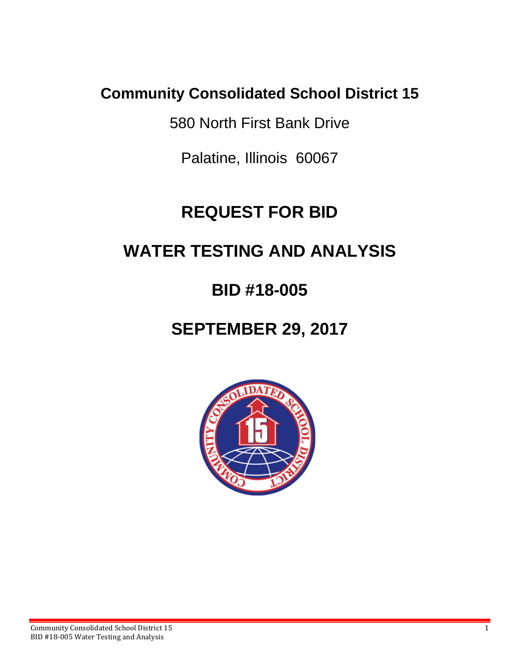## **Community Consolidated School District 15**

580 North First Bank Drive

Palatine, Illinois 60067

# **REQUEST FOR BID**

## **WATER TESTING AND ANALYSIS**

## **BID #18-005**

## **SEPTEMBER 29, 2017**

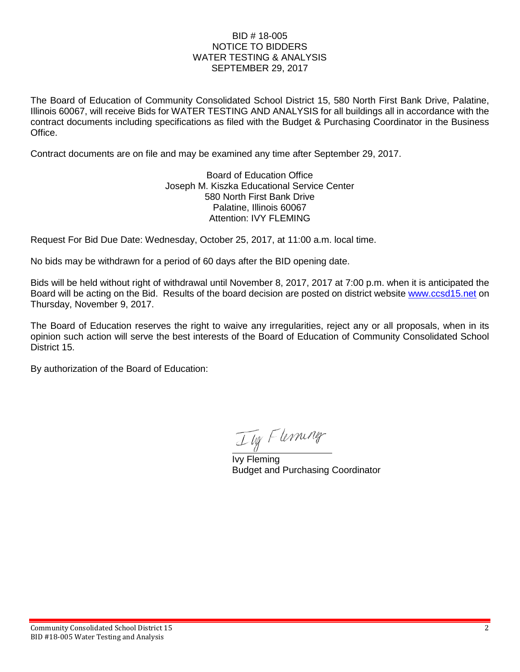#### BID # 18-005 NOTICE TO BIDDERS WATER TESTING & ANALYSIS SEPTEMBER 29, 2017

The Board of Education of Community Consolidated School District 15, 580 North First Bank Drive, Palatine, Illinois 60067, will receive Bids for WATER TESTING AND ANALYSIS for all buildings all in accordance with the contract documents including specifications as filed with the Budget & Purchasing Coordinator in the Business Office.

Contract documents are on file and may be examined any time after September 29, 2017.

Board of Education Office Joseph M. Kiszka Educational Service Center 580 North First Bank Drive Palatine, Illinois 60067 Attention: IVY FLEMING

Request For Bid Due Date: Wednesday, October 25, 2017, at 11:00 a.m. local time.

No bids may be withdrawn for a period of 60 days after the BID opening date.

Bids will be held without right of withdrawal until November 8, 2017, 2017 at 7:00 p.m. when it is anticipated the Board will be acting on the Bid. Results of the board decision are posted on district website [www.ccsd15.net](http://www.ccsd15.net/) on Thursday, November 9, 2017.

The Board of Education reserves the right to waive any irregularities, reject any or all proposals, when in its opinion such action will serve the best interests of the Board of Education of Community Consolidated School District 15.

By authorization of the Board of Education:

Ily Flerning

 Ivy Fleming Budget and Purchasing Coordinator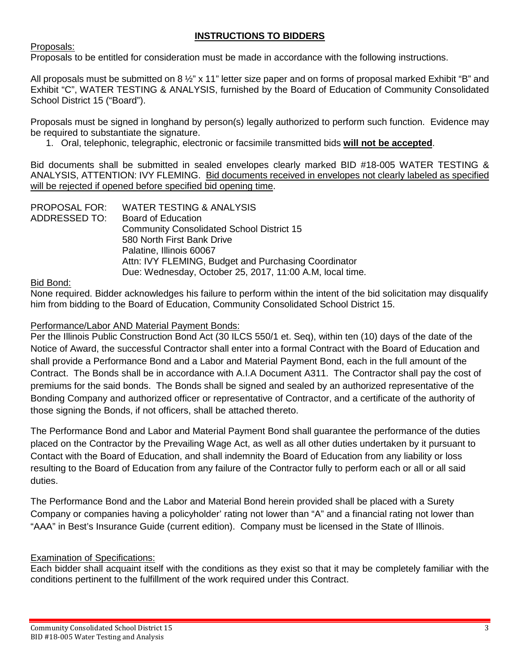## **INSTRUCTIONS TO BIDDERS**

Proposals:

Proposals to be entitled for consideration must be made in accordance with the following instructions.

All proposals must be submitted on 8  $\frac{1}{2}$ " x 11" letter size paper and on forms of proposal marked Exhibit "B" and Exhibit "C", WATER TESTING & ANALYSIS, furnished by the Board of Education of Community Consolidated School District 15 ("Board").

Proposals must be signed in longhand by person(s) legally authorized to perform such function. Evidence may be required to substantiate the signature.

1. Oral, telephonic, telegraphic, electronic or facsimile transmitted bids **will not be accepted**.

Bid documents shall be submitted in sealed envelopes clearly marked BID #18-005 WATER TESTING & ANALYSIS, ATTENTION: IVY FLEMING. Bid documents received in envelopes not clearly labeled as specified will be rejected if opened before specified bid opening time.

PROPOSAL FOR: WATER TESTING & ANALYSIS ADDRESSED TO: Board of Education Community Consolidated School District 15 580 North First Bank Drive Palatine, Illinois 60067 Attn: IVY FLEMING, Budget and Purchasing Coordinator Due: Wednesday, October 25, 2017, 11:00 A.M, local time.

Bid Bond:

None required. Bidder acknowledges his failure to perform within the intent of the bid solicitation may disqualify him from bidding to the Board of Education, Community Consolidated School District 15.

## Performance/Labor AND Material Payment Bonds:

Per the Illinois Public Construction Bond Act (30 ILCS 550/1 et. Seq), within ten (10) days of the date of the Notice of Award, the successful Contractor shall enter into a formal Contract with the Board of Education and shall provide a Performance Bond and a Labor and Material Payment Bond, each in the full amount of the Contract. The Bonds shall be in accordance with A.I.A Document A311. The Contractor shall pay the cost of premiums for the said bonds. The Bonds shall be signed and sealed by an authorized representative of the Bonding Company and authorized officer or representative of Contractor, and a certificate of the authority of those signing the Bonds, if not officers, shall be attached thereto.

The Performance Bond and Labor and Material Payment Bond shall guarantee the performance of the duties placed on the Contractor by the Prevailing Wage Act, as well as all other duties undertaken by it pursuant to Contact with the Board of Education, and shall indemnity the Board of Education from any liability or loss resulting to the Board of Education from any failure of the Contractor fully to perform each or all or all said duties.

The Performance Bond and the Labor and Material Bond herein provided shall be placed with a Surety Company or companies having a policyholder' rating not lower than "A" and a financial rating not lower than "AAA" in Best's Insurance Guide (current edition). Company must be licensed in the State of Illinois.

## Examination of Specifications:

Each bidder shall acquaint itself with the conditions as they exist so that it may be completely familiar with the conditions pertinent to the fulfillment of the work required under this Contract.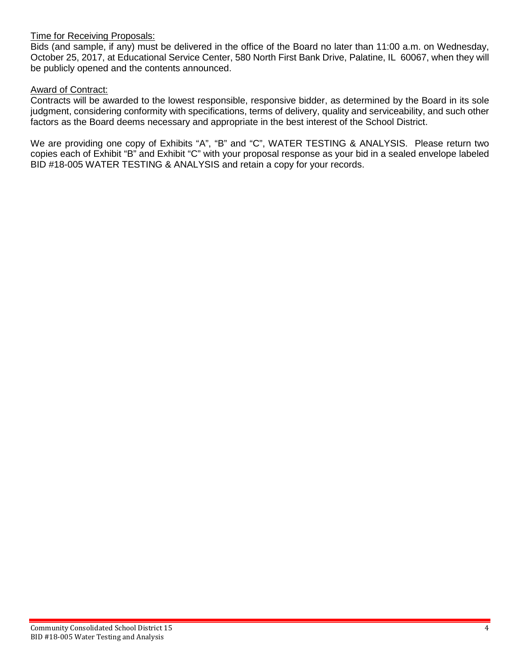#### Time for Receiving Proposals:

Bids (and sample, if any) must be delivered in the office of the Board no later than 11:00 a.m. on Wednesday, October 25, 2017, at Educational Service Center, 580 North First Bank Drive, Palatine, IL 60067, when they will be publicly opened and the contents announced.

#### Award of Contract:

Contracts will be awarded to the lowest responsible, responsive bidder, as determined by the Board in its sole judgment, considering conformity with specifications, terms of delivery, quality and serviceability, and such other factors as the Board deems necessary and appropriate in the best interest of the School District.

We are providing one copy of Exhibits "A", "B" and "C", WATER TESTING & ANALYSIS. Please return two copies each of Exhibit "B" and Exhibit "C" with your proposal response as your bid in a sealed envelope labeled BID #18-005 WATER TESTING & ANALYSIS and retain a copy for your records.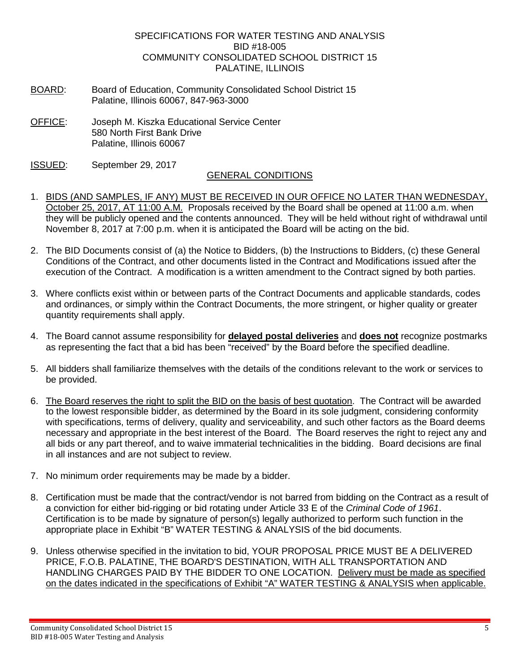#### SPECIFICATIONS FOR WATER TESTING AND ANALYSIS BID #18-005 COMMUNITY CONSOLIDATED SCHOOL DISTRICT 15 PALATINE, ILLINOIS

- BOARD: Board of Education, Community Consolidated School District 15 Palatine, Illinois 60067, 847-963-3000
- OFFICE: Joseph M. Kiszka Educational Service Center 580 North First Bank Drive Palatine, Illinois 60067
- ISSUED: September 29, 2017

### GENERAL CONDITIONS

- 1. BIDS (AND SAMPLES, IF ANY) MUST BE RECEIVED IN OUR OFFICE NO LATER THAN WEDNESDAY, October 25, 2017, AT 11:00 A.M. Proposals received by the Board shall be opened at 11:00 a.m. when they will be publicly opened and the contents announced. They will be held without right of withdrawal until November 8, 2017 at 7:00 p.m. when it is anticipated the Board will be acting on the bid.
- 2. The BID Documents consist of (a) the Notice to Bidders, (b) the Instructions to Bidders, (c) these General Conditions of the Contract, and other documents listed in the Contract and Modifications issued after the execution of the Contract. A modification is a written amendment to the Contract signed by both parties.
- 3. Where conflicts exist within or between parts of the Contract Documents and applicable standards, codes and ordinances, or simply within the Contract Documents, the more stringent, or higher quality or greater quantity requirements shall apply.
- 4. The Board cannot assume responsibility for **delayed postal deliveries** and **does not** recognize postmarks as representing the fact that a bid has been "received" by the Board before the specified deadline.
- 5. All bidders shall familiarize themselves with the details of the conditions relevant to the work or services to be provided.
- 6. The Board reserves the right to split the BID on the basis of best quotation. The Contract will be awarded to the lowest responsible bidder, as determined by the Board in its sole judgment, considering conformity with specifications, terms of delivery, quality and serviceability, and such other factors as the Board deems necessary and appropriate in the best interest of the Board. The Board reserves the right to reject any and all bids or any part thereof, and to waive immaterial technicalities in the bidding. Board decisions are final in all instances and are not subject to review.
- 7. No minimum order requirements may be made by a bidder.
- 8. Certification must be made that the contract/vendor is not barred from bidding on the Contract as a result of a conviction for either bid-rigging or bid rotating under Article 33 E of the *Criminal Code of 1961*. Certification is to be made by signature of person(s) legally authorized to perform such function in the appropriate place in Exhibit "B" WATER TESTING & ANALYSIS of the bid documents.
- 9. Unless otherwise specified in the invitation to bid, YOUR PROPOSAL PRICE MUST BE A DELIVERED PRICE, F.O.B. PALATINE, THE BOARD'S DESTINATION, WITH ALL TRANSPORTATION AND HANDLING CHARGES PAID BY THE BIDDER TO ONE LOCATION. Delivery must be made as specified on the dates indicated in the specifications of Exhibit "A" WATER TESTING & ANALYSIS when applicable.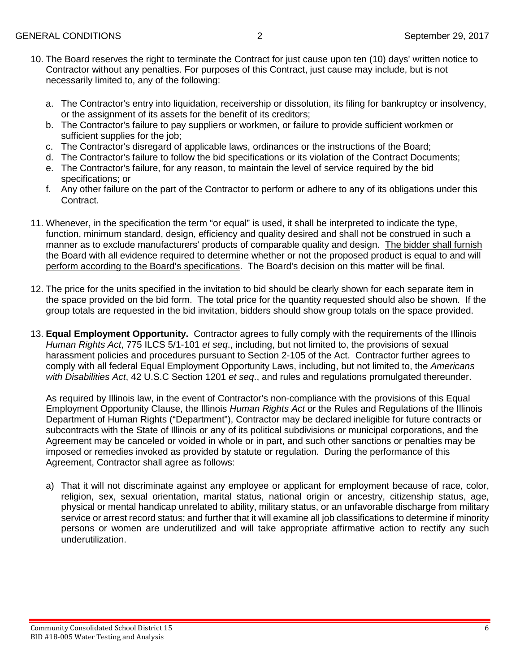- 10. The Board reserves the right to terminate the Contract for just cause upon ten (10) days' written notice to Contractor without any penalties. For purposes of this Contract, just cause may include, but is not necessarily limited to, any of the following:
	- a. The Contractor's entry into liquidation, receivership or dissolution, its filing for bankruptcy or insolvency, or the assignment of its assets for the benefit of its creditors;
	- b. The Contractor's failure to pay suppliers or workmen, or failure to provide sufficient workmen or sufficient supplies for the job;
	- c. The Contractor's disregard of applicable laws, ordinances or the instructions of the Board;
	- d. The Contractor's failure to follow the bid specifications or its violation of the Contract Documents;
	- e. The Contractor's failure, for any reason, to maintain the level of service required by the bid specifications; or
	- f. Any other failure on the part of the Contractor to perform or adhere to any of its obligations under this Contract.
- 11. Whenever, in the specification the term "or equal" is used, it shall be interpreted to indicate the type, function, minimum standard, design, efficiency and quality desired and shall not be construed in such a manner as to exclude manufacturers' products of comparable quality and design. The bidder shall furnish the Board with all evidence required to determine whether or not the proposed product is equal to and will perform according to the Board's specifications. The Board's decision on this matter will be final.
- 12. The price for the units specified in the invitation to bid should be clearly shown for each separate item in the space provided on the bid form. The total price for the quantity requested should also be shown. If the group totals are requested in the bid invitation, bidders should show group totals on the space provided.
- 13. **Equal Employment Opportunity.** Contractor agrees to fully comply with the requirements of the Illinois *Human Rights Act*, 775 ILCS 5/1-101 *et seq*., including, but not limited to, the provisions of sexual harassment policies and procedures pursuant to Section 2-105 of the Act. Contractor further agrees to comply with all federal Equal Employment Opportunity Laws, including, but not limited to, the *Americans with Disabilities Act*, 42 U.S.C Section 1201 *et seq*., and rules and regulations promulgated thereunder.

As required by Illinois law, in the event of Contractor's non-compliance with the provisions of this Equal Employment Opportunity Clause, the Illinois *Human Rights Act* or the Rules and Regulations of the Illinois Department of Human Rights ("Department"), Contractor may be declared ineligible for future contracts or subcontracts with the State of Illinois or any of its political subdivisions or municipal corporations, and the Agreement may be canceled or voided in whole or in part, and such other sanctions or penalties may be imposed or remedies invoked as provided by statute or regulation. During the performance of this Agreement, Contractor shall agree as follows:

a) That it will not discriminate against any employee or applicant for employment because of race, color, religion, sex, sexual orientation, marital status, national origin or ancestry, citizenship status, age, physical or mental handicap unrelated to ability, military status, or an unfavorable discharge from military service or arrest record status; and further that it will examine all job classifications to determine if minority persons or women are underutilized and will take appropriate affirmative action to rectify any such underutilization.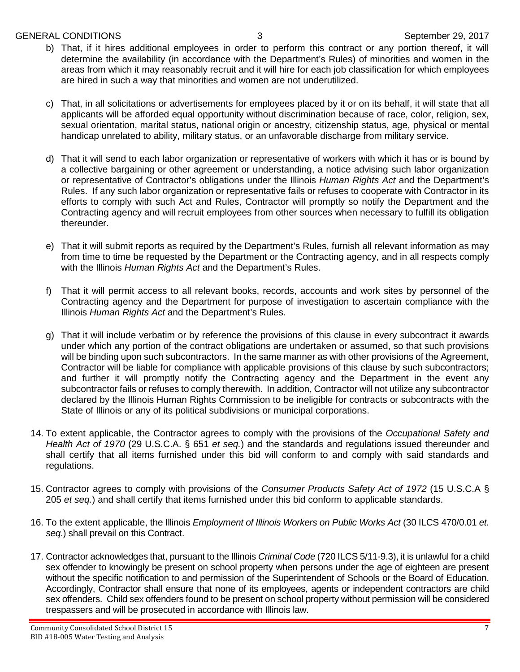#### GENERAL CONDITIONS 3 September 29, 2017

- b) That, if it hires additional employees in order to perform this contract or any portion thereof, it will determine the availability (in accordance with the Department's Rules) of minorities and women in the areas from which it may reasonably recruit and it will hire for each job classification for which employees are hired in such a way that minorities and women are not underutilized.
- c) That, in all solicitations or advertisements for employees placed by it or on its behalf, it will state that all applicants will be afforded equal opportunity without discrimination because of race, color, religion, sex, sexual orientation, marital status, national origin or ancestry, citizenship status, age, physical or mental handicap unrelated to ability, military status, or an unfavorable discharge from military service.
- d) That it will send to each labor organization or representative of workers with which it has or is bound by a collective bargaining or other agreement or understanding, a notice advising such labor organization or representative of Contractor's obligations under the Illinois *Human Rights Act* and the Department's Rules. If any such labor organization or representative fails or refuses to cooperate with Contractor in its efforts to comply with such Act and Rules, Contractor will promptly so notify the Department and the Contracting agency and will recruit employees from other sources when necessary to fulfill its obligation thereunder.
- e) That it will submit reports as required by the Department's Rules, furnish all relevant information as may from time to time be requested by the Department or the Contracting agency, and in all respects comply with the Illinois *Human Rights Act* and the Department's Rules.
- f) That it will permit access to all relevant books, records, accounts and work sites by personnel of the Contracting agency and the Department for purpose of investigation to ascertain compliance with the Illinois *Human Rights Act* and the Department's Rules.
- g) That it will include verbatim or by reference the provisions of this clause in every subcontract it awards under which any portion of the contract obligations are undertaken or assumed, so that such provisions will be binding upon such subcontractors. In the same manner as with other provisions of the Agreement, Contractor will be liable for compliance with applicable provisions of this clause by such subcontractors; and further it will promptly notify the Contracting agency and the Department in the event any subcontractor fails or refuses to comply therewith. In addition, Contractor will not utilize any subcontractor declared by the Illinois Human Rights Commission to be ineligible for contracts or subcontracts with the State of Illinois or any of its political subdivisions or municipal corporations.
- 14. To extent applicable, the Contractor agrees to comply with the provisions of the *Occupational Safety and Health Act of 1970* (29 U.S.C.A. § 651 *et seq.*) and the standards and regulations issued thereunder and shall certify that all items furnished under this bid will conform to and comply with said standards and regulations.
- 15. Contractor agrees to comply with provisions of the *Consumer Products Safety Act of 1972* (15 U.S.C.A § 205 *et seq.*) and shall certify that items furnished under this bid conform to applicable standards.
- 16. To the extent applicable, the Illinois *Employment of Illinois Workers on Public Works Act* (30 ILCS 470/0.01 *et. seq*.) shall prevail on this Contract.
- 17. Contractor acknowledges that, pursuant to the Illinois *Criminal Code* (720 ILCS 5/11-9.3), it is unlawful for a child sex offender to knowingly be present on school property when persons under the age of eighteen are present without the specific notification to and permission of the Superintendent of Schools or the Board of Education. Accordingly, Contractor shall ensure that none of its employees, agents or independent contractors are child sex offenders. Child sex offenders found to be present on school property without permission will be considered trespassers and will be prosecuted in accordance with Illinois law.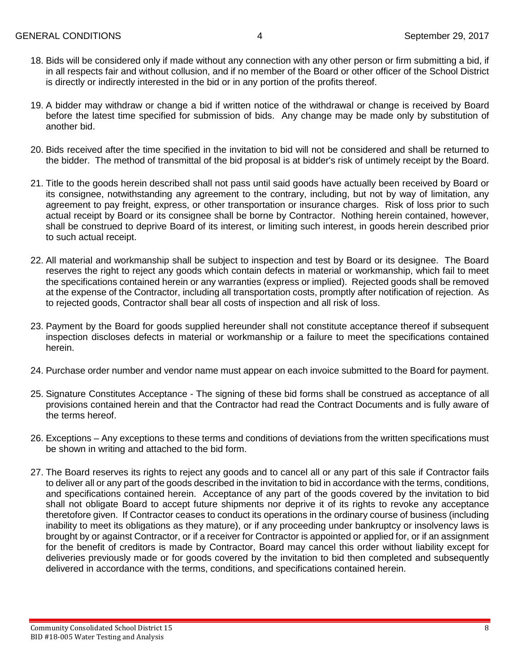- 18. Bids will be considered only if made without any connection with any other person or firm submitting a bid, if in all respects fair and without collusion, and if no member of the Board or other officer of the School District is directly or indirectly interested in the bid or in any portion of the profits thereof.
- 19. A bidder may withdraw or change a bid if written notice of the withdrawal or change is received by Board before the latest time specified for submission of bids. Any change may be made only by substitution of another bid.
- 20. Bids received after the time specified in the invitation to bid will not be considered and shall be returned to the bidder. The method of transmittal of the bid proposal is at bidder's risk of untimely receipt by the Board.
- 21. Title to the goods herein described shall not pass until said goods have actually been received by Board or its consignee, notwithstanding any agreement to the contrary, including, but not by way of limitation, any agreement to pay freight, express, or other transportation or insurance charges. Risk of loss prior to such actual receipt by Board or its consignee shall be borne by Contractor. Nothing herein contained, however, shall be construed to deprive Board of its interest, or limiting such interest, in goods herein described prior to such actual receipt.
- 22. All material and workmanship shall be subject to inspection and test by Board or its designee. The Board reserves the right to reject any goods which contain defects in material or workmanship, which fail to meet the specifications contained herein or any warranties (express or implied). Rejected goods shall be removed at the expense of the Contractor, including all transportation costs, promptly after notification of rejection. As to rejected goods, Contractor shall bear all costs of inspection and all risk of loss.
- 23. Payment by the Board for goods supplied hereunder shall not constitute acceptance thereof if subsequent inspection discloses defects in material or workmanship or a failure to meet the specifications contained herein.
- 24. Purchase order number and vendor name must appear on each invoice submitted to the Board for payment.
- 25. Signature Constitutes Acceptance The signing of these bid forms shall be construed as acceptance of all provisions contained herein and that the Contractor had read the Contract Documents and is fully aware of the terms hereof.
- 26. Exceptions Any exceptions to these terms and conditions of deviations from the written specifications must be shown in writing and attached to the bid form.
- 27. The Board reserves its rights to reject any goods and to cancel all or any part of this sale if Contractor fails to deliver all or any part of the goods described in the invitation to bid in accordance with the terms, conditions, and specifications contained herein. Acceptance of any part of the goods covered by the invitation to bid shall not obligate Board to accept future shipments nor deprive it of its rights to revoke any acceptance theretofore given. If Contractor ceases to conduct its operations in the ordinary course of business (including inability to meet its obligations as they mature), or if any proceeding under bankruptcy or insolvency laws is brought by or against Contractor, or if a receiver for Contractor is appointed or applied for, or if an assignment for the benefit of creditors is made by Contractor, Board may cancel this order without liability except for deliveries previously made or for goods covered by the invitation to bid then completed and subsequently delivered in accordance with the terms, conditions, and specifications contained herein.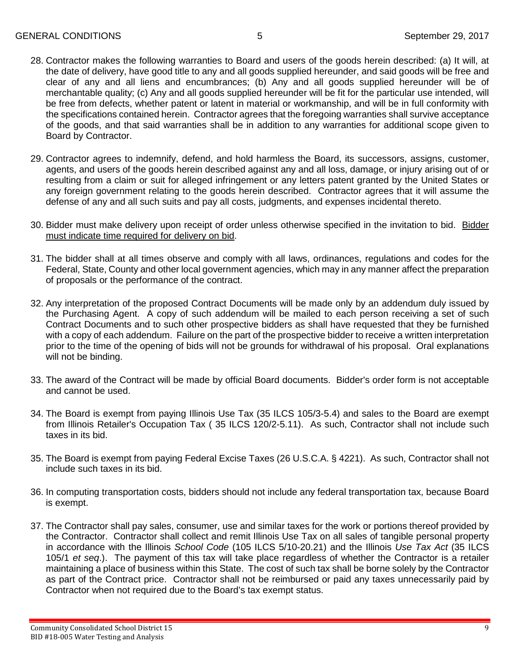- 28. Contractor makes the following warranties to Board and users of the goods herein described: (a) It will, at the date of delivery, have good title to any and all goods supplied hereunder, and said goods will be free and clear of any and all liens and encumbrances; (b) Any and all goods supplied hereunder will be of merchantable quality; (c) Any and all goods supplied hereunder will be fit for the particular use intended, will be free from defects, whether patent or latent in material or workmanship, and will be in full conformity with the specifications contained herein. Contractor agrees that the foregoing warranties shall survive acceptance of the goods, and that said warranties shall be in addition to any warranties for additional scope given to Board by Contractor.
- 29. Contractor agrees to indemnify, defend, and hold harmless the Board, its successors, assigns, customer, agents, and users of the goods herein described against any and all loss, damage, or injury arising out of or resulting from a claim or suit for alleged infringement or any letters patent granted by the United States or any foreign government relating to the goods herein described. Contractor agrees that it will assume the defense of any and all such suits and pay all costs, judgments, and expenses incidental thereto.
- 30. Bidder must make delivery upon receipt of order unless otherwise specified in the invitation to bid. Bidder must indicate time required for delivery on bid.
- 31. The bidder shall at all times observe and comply with all laws, ordinances, regulations and codes for the Federal, State, County and other local government agencies, which may in any manner affect the preparation of proposals or the performance of the contract.
- 32. Any interpretation of the proposed Contract Documents will be made only by an addendum duly issued by the Purchasing Agent. A copy of such addendum will be mailed to each person receiving a set of such Contract Documents and to such other prospective bidders as shall have requested that they be furnished with a copy of each addendum. Failure on the part of the prospective bidder to receive a written interpretation prior to the time of the opening of bids will not be grounds for withdrawal of his proposal. Oral explanations will not be binding.
- 33. The award of the Contract will be made by official Board documents. Bidder's order form is not acceptable and cannot be used.
- 34. The Board is exempt from paying Illinois Use Tax (35 ILCS 105/3-5.4) and sales to the Board are exempt from Illinois Retailer's Occupation Tax ( 35 ILCS 120/2-5.11). As such, Contractor shall not include such taxes in its bid.
- 35. The Board is exempt from paying Federal Excise Taxes (26 U.S.C.A. § 4221). As such, Contractor shall not include such taxes in its bid.
- 36. In computing transportation costs, bidders should not include any federal transportation tax, because Board is exempt.
- 37. The Contractor shall pay sales, consumer, use and similar taxes for the work or portions thereof provided by the Contractor. Contractor shall collect and remit Illinois Use Tax on all sales of tangible personal property in accordance with the Illinois *School Code* (105 ILCS 5/10-20.21) and the Illinois *Use Tax Act* (35 ILCS 105/1 *et seq*.). The payment of this tax will take place regardless of whether the Contractor is a retailer maintaining a place of business within this State. The cost of such tax shall be borne solely by the Contractor as part of the Contract price. Contractor shall not be reimbursed or paid any taxes unnecessarily paid by Contractor when not required due to the Board's tax exempt status.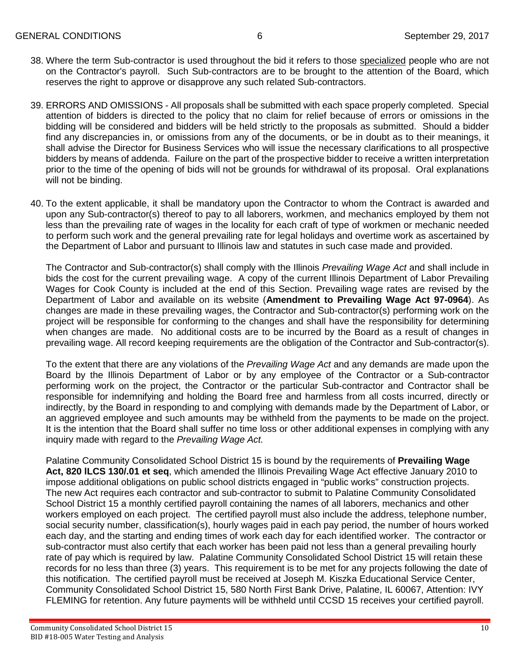- 38. Where the term Sub-contractor is used throughout the bid it refers to those specialized people who are not on the Contractor's payroll. Such Sub-contractors are to be brought to the attention of the Board, which reserves the right to approve or disapprove any such related Sub-contractors.
- 39. ERRORS AND OMISSIONS All proposals shall be submitted with each space properly completed. Special attention of bidders is directed to the policy that no claim for relief because of errors or omissions in the bidding will be considered and bidders will be held strictly to the proposals as submitted. Should a bidder find any discrepancies in, or omissions from any of the documents, or be in doubt as to their meanings, it shall advise the Director for Business Services who will issue the necessary clarifications to all prospective bidders by means of addenda. Failure on the part of the prospective bidder to receive a written interpretation prior to the time of the opening of bids will not be grounds for withdrawal of its proposal. Oral explanations will not be binding.
- 40. To the extent applicable, it shall be mandatory upon the Contractor to whom the Contract is awarded and upon any Sub-contractor(s) thereof to pay to all laborers, workmen, and mechanics employed by them not less than the prevailing rate of wages in the locality for each craft of type of workmen or mechanic needed to perform such work and the general prevailing rate for legal holidays and overtime work as ascertained by the Department of Labor and pursuant to Illinois law and statutes in such case made and provided.

The Contractor and Sub-contractor(s) shall comply with the Illinois *Prevailing Wage Act* and shall include in bids the cost for the current prevailing wage. A copy of the current Illinois Department of Labor Prevailing Wages for Cook County is included at the end of this Section. Prevailing wage rates are revised by the Department of Labor and available on its website (**Amendment to Prevailing Wage Act 97-0964**). As changes are made in these prevailing wages, the Contractor and Sub-contractor(s) performing work on the project will be responsible for conforming to the changes and shall have the responsibility for determining when changes are made. No additional costs are to be incurred by the Board as a result of changes in prevailing wage. All record keeping requirements are the obligation of the Contractor and Sub-contractor(s).

To the extent that there are any violations of the *Prevailing Wage Act* and any demands are made upon the Board by the Illinois Department of Labor or by any employee of the Contractor or a Sub-contractor performing work on the project, the Contractor or the particular Sub-contractor and Contractor shall be responsible for indemnifying and holding the Board free and harmless from all costs incurred, directly or indirectly, by the Board in responding to and complying with demands made by the Department of Labor, or an aggrieved employee and such amounts may be withheld from the payments to be made on the project. It is the intention that the Board shall suffer no time loss or other additional expenses in complying with any inquiry made with regard to the *Prevailing Wage Act.*

Palatine Community Consolidated School District 15 is bound by the requirements of **Prevailing Wage Act, 820 lLCS 130/.01 et seq**, which amended the Illinois Prevailing Wage Act effective January 2010 to impose additional obligations on public school districts engaged in "public works" construction projects. The new Act requires each contractor and sub-contractor to submit to Palatine Community Consolidated School District 15 a monthly certified payroll containing the names of all laborers, mechanics and other workers employed on each project. The certified payroll must also include the address, telephone number, social security number, classification(s), hourly wages paid in each pay period, the number of hours worked each day, and the starting and ending times of work each day for each identified worker. The contractor or sub-contractor must also certify that each worker has been paid not less than a general prevailing hourly rate of pay which is required by law. Palatine Community Consolidated School District 15 will retain these records for no less than three (3) years. This requirement is to be met for any projects following the date of this notification. The certified payroll must be received at Joseph M. Kiszka Educational Service Center, Community Consolidated School District 15, 580 North First Bank Drive, Palatine, IL 60067, Attention: IVY FLEMING for retention. Any future payments will be withheld until CCSD 15 receives your certified payroll.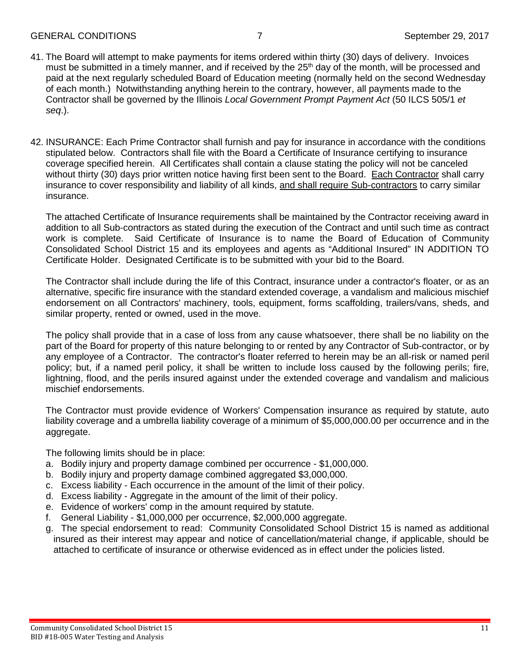#### GENERAL CONDITIONS 7 September 29, 2017

- 41. The Board will attempt to make payments for items ordered within thirty (30) days of delivery. Invoices must be submitted in a timely manner, and if received by the  $25<sup>th</sup>$  day of the month, will be processed and paid at the next regularly scheduled Board of Education meeting (normally held on the second Wednesday of each month.) Notwithstanding anything herein to the contrary, however, all payments made to the Contractor shall be governed by the Illinois *Local Government Prompt Payment Act* (50 ILCS 505/1 *et seq*.).
- 42. INSURANCE: Each Prime Contractor shall furnish and pay for insurance in accordance with the conditions stipulated below. Contractors shall file with the Board a Certificate of Insurance certifying to insurance coverage specified herein. All Certificates shall contain a clause stating the policy will not be canceled without thirty (30) days prior written notice having first been sent to the Board. Each Contractor shall carry insurance to cover responsibility and liability of all kinds, and shall require Sub-contractors to carry similar insurance.

The attached Certificate of Insurance requirements shall be maintained by the Contractor receiving award in addition to all Sub-contractors as stated during the execution of the Contract and until such time as contract work is complete. Said Certificate of Insurance is to name the Board of Education of Community Consolidated School District 15 and its employees and agents as "Additional Insured" IN ADDITION TO Certificate Holder. Designated Certificate is to be submitted with your bid to the Board.

The Contractor shall include during the life of this Contract, insurance under a contractor's floater, or as an alternative, specific fire insurance with the standard extended coverage, a vandalism and malicious mischief endorsement on all Contractors' machinery, tools, equipment, forms scaffolding, trailers/vans, sheds, and similar property, rented or owned, used in the move.

The policy shall provide that in a case of loss from any cause whatsoever, there shall be no liability on the part of the Board for property of this nature belonging to or rented by any Contractor of Sub-contractor, or by any employee of a Contractor. The contractor's floater referred to herein may be an all-risk or named peril policy; but, if a named peril policy, it shall be written to include loss caused by the following perils; fire, lightning, flood, and the perils insured against under the extended coverage and vandalism and malicious mischief endorsements.

The Contractor must provide evidence of Workers' Compensation insurance as required by statute, auto liability coverage and a umbrella liability coverage of a minimum of \$5,000,000.00 per occurrence and in the aggregate.

The following limits should be in place:

- a. Bodily injury and property damage combined per occurrence \$1,000,000.
- b. Bodily injury and property damage combined aggregated \$3,000,000.
- c. Excess liability Each occurrence in the amount of the limit of their policy.
- d. Excess liability Aggregate in the amount of the limit of their policy.
- e. Evidence of workers' comp in the amount required by statute.
- f. General Liability \$1,000,000 per occurrence, \$2,000,000 aggregate.
- g. The special endorsement to read: Community Consolidated School District 15 is named as additional insured as their interest may appear and notice of cancellation/material change, if applicable, should be attached to certificate of insurance or otherwise evidenced as in effect under the policies listed.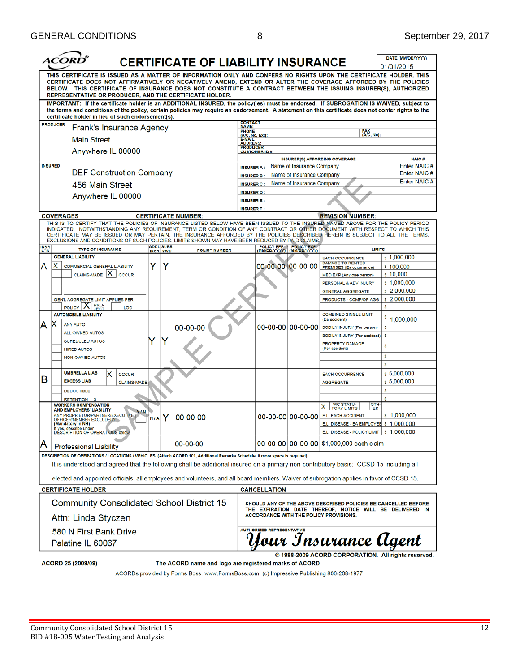| THIS CERTIFICATE IS ISSUED AS A MATTER OF INFORMATION ONLY AND CONFERS NO RIGHTS UPON THE CERTIFICATE HOLDER. THIS<br>CERTIFICATE DOES NOT AFFIRMATIVELY OR NEGATIVELY AMEND, EXTEND OR ALTER THE COVERAGE AFFORDED BY THE POLICIES<br>BELOW. THIS CERTIFICATE OF INSURANCE DOES NOT CONSTITUTE A CONTRACT BETWEEN THE ISSUING INSURER(S), AUTHORIZED<br>REPRESENTATIVE OR PRODUCER. AND THE CERTIFICATE HOLDER.<br>IMPORTANT: If the certificate holder is an ADDITIONAL INSURED, the policy(ies) must be endorsed. If SUBROGATION IS WAIVED, subject to<br>the terms and conditions of the policy, certain policies may require an endorsement. A statement on this certificate does not confer rights to the<br>certificate holder in lieu of such endorsement(s).<br><b>CONTACT</b><br><b>PRODUCER</b><br>Frank's Insurance Agency<br><b>NAME:</b><br><b>FAX</b><br><b>PHONE</b><br>(A/C, No):<br>(A/C, No, Ext):<br><b>Main Street</b><br><b>E-MAIL</b><br>ADDRESS<br><b>PRODUCER</b><br>Anywhere IL 00000<br><b>CUSTOMER ID#:</b><br><b>INSURER(S) AFFORDING COVERAGE</b><br><b>INSURED</b><br>Name of Insurance Company<br><b>INSURER A:</b><br><b>DEF Construction Company</b><br>Name of Insurance Company<br><b>INSURER B:</b><br>Name of Insurance Company<br>456 Main Street<br><b>INSURER C:</b><br><b>INSURER D:</b><br>Anywhere IL 00000<br><b>INSURER E:</b><br><b>INSURER F:</b><br><b>COVERAGES</b><br><b>REVISION NUMBER:</b><br><b>CERTIFICATE NUMBER:</b><br>THIS IS TO CERTIFY THAT THE POLICIES OF INSURANCE LISTED BELOW HAVE BEEN ISSUED TO THE INSURED NAMED ABOVE FOR THE POLICY PERIOD<br>INDICATED. NOTWITHSTANDING ANY REQUIREMENT, TERM OR CONDITION OF ANY CONTRACT OR OTHER DOCUMENT WITH RESPECT TO WHICH THIS<br>CERTIFICATE MAY BE ISSUED OR MAY PERTAIN, THE INSURANCE AFFORDED BY THE POLICIES DESCRIBED HEREIN IS SUBJECT TO ALL THE TERMS,<br>EXCLUSIONS AND CONDITIONS OF SUCH POLICIES. LIMITS SHOWN MAY HAVE BEEN REDUCED BY PAID CLAIMS.<br><b>ADDL</b> SUBR<br>POLICY EFF POLICY EXP<br>(MM/DD/YYYY) (MM/DD/YYYY)<br><b>INSR</b><br>LTR<br><b>TYPE OF INSURANCE</b><br><b>LIMITS</b><br><b>POLICY NUMBER</b><br><b>INSR WVD</b><br><b>GENERAL LIABILITY</b><br>s 1,000,000<br><b>EACH OCCURRENCE</b><br><b>DAMAGE TO RENTED</b><br>00-00-00 00-00-00<br>x<br>Y<br>Y<br>А<br><b>COMMERCIAL GENERAL LIABILITY</b><br>\$100,000<br>PREMISES (Ea occurrence)<br>$CLAIMS-MADE$ $ X $<br>\$10,000<br><b>OCCUR</b><br>MED EXP (Any one person)<br>s 1,000,000<br>PERSONAL & ADV INJURY<br>\$2,000,000<br>GENERAL AGGREGATE<br>\$2,000,000<br>PRODUCTS - COMP/OP AGG<br>GEN'L AGGREGATE LIMIT APPLIES PER: | DATE (MM/DD/YYYY)<br>01/01/2015 |  |  |
|-------------------------------------------------------------------------------------------------------------------------------------------------------------------------------------------------------------------------------------------------------------------------------------------------------------------------------------------------------------------------------------------------------------------------------------------------------------------------------------------------------------------------------------------------------------------------------------------------------------------------------------------------------------------------------------------------------------------------------------------------------------------------------------------------------------------------------------------------------------------------------------------------------------------------------------------------------------------------------------------------------------------------------------------------------------------------------------------------------------------------------------------------------------------------------------------------------------------------------------------------------------------------------------------------------------------------------------------------------------------------------------------------------------------------------------------------------------------------------------------------------------------------------------------------------------------------------------------------------------------------------------------------------------------------------------------------------------------------------------------------------------------------------------------------------------------------------------------------------------------------------------------------------------------------------------------------------------------------------------------------------------------------------------------------------------------------------------------------------------------------------------------------------------------------------------------------------------------------------------------------------------------------------------------------------------------------------------------------------------------------------------------------------------------------------------------------------------------------------------------------------------------------------------------------------------------------------------------------------------------------------------------------|---------------------------------|--|--|
|                                                                                                                                                                                                                                                                                                                                                                                                                                                                                                                                                                                                                                                                                                                                                                                                                                                                                                                                                                                                                                                                                                                                                                                                                                                                                                                                                                                                                                                                                                                                                                                                                                                                                                                                                                                                                                                                                                                                                                                                                                                                                                                                                                                                                                                                                                                                                                                                                                                                                                                                                                                                                                                 |                                 |  |  |
|                                                                                                                                                                                                                                                                                                                                                                                                                                                                                                                                                                                                                                                                                                                                                                                                                                                                                                                                                                                                                                                                                                                                                                                                                                                                                                                                                                                                                                                                                                                                                                                                                                                                                                                                                                                                                                                                                                                                                                                                                                                                                                                                                                                                                                                                                                                                                                                                                                                                                                                                                                                                                                                 |                                 |  |  |
|                                                                                                                                                                                                                                                                                                                                                                                                                                                                                                                                                                                                                                                                                                                                                                                                                                                                                                                                                                                                                                                                                                                                                                                                                                                                                                                                                                                                                                                                                                                                                                                                                                                                                                                                                                                                                                                                                                                                                                                                                                                                                                                                                                                                                                                                                                                                                                                                                                                                                                                                                                                                                                                 |                                 |  |  |
|                                                                                                                                                                                                                                                                                                                                                                                                                                                                                                                                                                                                                                                                                                                                                                                                                                                                                                                                                                                                                                                                                                                                                                                                                                                                                                                                                                                                                                                                                                                                                                                                                                                                                                                                                                                                                                                                                                                                                                                                                                                                                                                                                                                                                                                                                                                                                                                                                                                                                                                                                                                                                                                 |                                 |  |  |
|                                                                                                                                                                                                                                                                                                                                                                                                                                                                                                                                                                                                                                                                                                                                                                                                                                                                                                                                                                                                                                                                                                                                                                                                                                                                                                                                                                                                                                                                                                                                                                                                                                                                                                                                                                                                                                                                                                                                                                                                                                                                                                                                                                                                                                                                                                                                                                                                                                                                                                                                                                                                                                                 |                                 |  |  |
|                                                                                                                                                                                                                                                                                                                                                                                                                                                                                                                                                                                                                                                                                                                                                                                                                                                                                                                                                                                                                                                                                                                                                                                                                                                                                                                                                                                                                                                                                                                                                                                                                                                                                                                                                                                                                                                                                                                                                                                                                                                                                                                                                                                                                                                                                                                                                                                                                                                                                                                                                                                                                                                 | <b>NAIC#</b>                    |  |  |
|                                                                                                                                                                                                                                                                                                                                                                                                                                                                                                                                                                                                                                                                                                                                                                                                                                                                                                                                                                                                                                                                                                                                                                                                                                                                                                                                                                                                                                                                                                                                                                                                                                                                                                                                                                                                                                                                                                                                                                                                                                                                                                                                                                                                                                                                                                                                                                                                                                                                                                                                                                                                                                                 | Enter NAIC #                    |  |  |
|                                                                                                                                                                                                                                                                                                                                                                                                                                                                                                                                                                                                                                                                                                                                                                                                                                                                                                                                                                                                                                                                                                                                                                                                                                                                                                                                                                                                                                                                                                                                                                                                                                                                                                                                                                                                                                                                                                                                                                                                                                                                                                                                                                                                                                                                                                                                                                                                                                                                                                                                                                                                                                                 | Enter NAIC#<br>Enter NAIC #     |  |  |
|                                                                                                                                                                                                                                                                                                                                                                                                                                                                                                                                                                                                                                                                                                                                                                                                                                                                                                                                                                                                                                                                                                                                                                                                                                                                                                                                                                                                                                                                                                                                                                                                                                                                                                                                                                                                                                                                                                                                                                                                                                                                                                                                                                                                                                                                                                                                                                                                                                                                                                                                                                                                                                                 |                                 |  |  |
|                                                                                                                                                                                                                                                                                                                                                                                                                                                                                                                                                                                                                                                                                                                                                                                                                                                                                                                                                                                                                                                                                                                                                                                                                                                                                                                                                                                                                                                                                                                                                                                                                                                                                                                                                                                                                                                                                                                                                                                                                                                                                                                                                                                                                                                                                                                                                                                                                                                                                                                                                                                                                                                 |                                 |  |  |
|                                                                                                                                                                                                                                                                                                                                                                                                                                                                                                                                                                                                                                                                                                                                                                                                                                                                                                                                                                                                                                                                                                                                                                                                                                                                                                                                                                                                                                                                                                                                                                                                                                                                                                                                                                                                                                                                                                                                                                                                                                                                                                                                                                                                                                                                                                                                                                                                                                                                                                                                                                                                                                                 |                                 |  |  |
|                                                                                                                                                                                                                                                                                                                                                                                                                                                                                                                                                                                                                                                                                                                                                                                                                                                                                                                                                                                                                                                                                                                                                                                                                                                                                                                                                                                                                                                                                                                                                                                                                                                                                                                                                                                                                                                                                                                                                                                                                                                                                                                                                                                                                                                                                                                                                                                                                                                                                                                                                                                                                                                 |                                 |  |  |
|                                                                                                                                                                                                                                                                                                                                                                                                                                                                                                                                                                                                                                                                                                                                                                                                                                                                                                                                                                                                                                                                                                                                                                                                                                                                                                                                                                                                                                                                                                                                                                                                                                                                                                                                                                                                                                                                                                                                                                                                                                                                                                                                                                                                                                                                                                                                                                                                                                                                                                                                                                                                                                                 |                                 |  |  |
|                                                                                                                                                                                                                                                                                                                                                                                                                                                                                                                                                                                                                                                                                                                                                                                                                                                                                                                                                                                                                                                                                                                                                                                                                                                                                                                                                                                                                                                                                                                                                                                                                                                                                                                                                                                                                                                                                                                                                                                                                                                                                                                                                                                                                                                                                                                                                                                                                                                                                                                                                                                                                                                 |                                 |  |  |
|                                                                                                                                                                                                                                                                                                                                                                                                                                                                                                                                                                                                                                                                                                                                                                                                                                                                                                                                                                                                                                                                                                                                                                                                                                                                                                                                                                                                                                                                                                                                                                                                                                                                                                                                                                                                                                                                                                                                                                                                                                                                                                                                                                                                                                                                                                                                                                                                                                                                                                                                                                                                                                                 |                                 |  |  |
|                                                                                                                                                                                                                                                                                                                                                                                                                                                                                                                                                                                                                                                                                                                                                                                                                                                                                                                                                                                                                                                                                                                                                                                                                                                                                                                                                                                                                                                                                                                                                                                                                                                                                                                                                                                                                                                                                                                                                                                                                                                                                                                                                                                                                                                                                                                                                                                                                                                                                                                                                                                                                                                 |                                 |  |  |
|                                                                                                                                                                                                                                                                                                                                                                                                                                                                                                                                                                                                                                                                                                                                                                                                                                                                                                                                                                                                                                                                                                                                                                                                                                                                                                                                                                                                                                                                                                                                                                                                                                                                                                                                                                                                                                                                                                                                                                                                                                                                                                                                                                                                                                                                                                                                                                                                                                                                                                                                                                                                                                                 |                                 |  |  |
|                                                                                                                                                                                                                                                                                                                                                                                                                                                                                                                                                                                                                                                                                                                                                                                                                                                                                                                                                                                                                                                                                                                                                                                                                                                                                                                                                                                                                                                                                                                                                                                                                                                                                                                                                                                                                                                                                                                                                                                                                                                                                                                                                                                                                                                                                                                                                                                                                                                                                                                                                                                                                                                 |                                 |  |  |
| PRO-<br>S                                                                                                                                                                                                                                                                                                                                                                                                                                                                                                                                                                                                                                                                                                                                                                                                                                                                                                                                                                                                                                                                                                                                                                                                                                                                                                                                                                                                                                                                                                                                                                                                                                                                                                                                                                                                                                                                                                                                                                                                                                                                                                                                                                                                                                                                                                                                                                                                                                                                                                                                                                                                                                       |                                 |  |  |
| <b>POLICY</b><br>LOC<br><b>AUTOMOBILE LIABILITY</b><br><b>COMBINED SINGLE LIMIT</b><br>s<br>1,000,000<br>(Ea accident)                                                                                                                                                                                                                                                                                                                                                                                                                                                                                                                                                                                                                                                                                                                                                                                                                                                                                                                                                                                                                                                                                                                                                                                                                                                                                                                                                                                                                                                                                                                                                                                                                                                                                                                                                                                                                                                                                                                                                                                                                                                                                                                                                                                                                                                                                                                                                                                                                                                                                                                          |                                 |  |  |
| х<br>А<br><b>ANY AUTO</b><br>00-00-00 00-00-00<br>00-00-00<br><b>BODILY INJURY (Per person)</b><br>\$<br>ALL OWNED AUTOS                                                                                                                                                                                                                                                                                                                                                                                                                                                                                                                                                                                                                                                                                                                                                                                                                                                                                                                                                                                                                                                                                                                                                                                                                                                                                                                                                                                                                                                                                                                                                                                                                                                                                                                                                                                                                                                                                                                                                                                                                                                                                                                                                                                                                                                                                                                                                                                                                                                                                                                        |                                 |  |  |
| BODILY INJURY (Per accident)<br>s<br>Y<br>Y<br><b>SCHEDULED AUTOS</b>                                                                                                                                                                                                                                                                                                                                                                                                                                                                                                                                                                                                                                                                                                                                                                                                                                                                                                                                                                                                                                                                                                                                                                                                                                                                                                                                                                                                                                                                                                                                                                                                                                                                                                                                                                                                                                                                                                                                                                                                                                                                                                                                                                                                                                                                                                                                                                                                                                                                                                                                                                           |                                 |  |  |
| PROPERTY DAMAGE<br>\$<br>(Per accident)<br><b>HIRED AUTOS</b>                                                                                                                                                                                                                                                                                                                                                                                                                                                                                                                                                                                                                                                                                                                                                                                                                                                                                                                                                                                                                                                                                                                                                                                                                                                                                                                                                                                                                                                                                                                                                                                                                                                                                                                                                                                                                                                                                                                                                                                                                                                                                                                                                                                                                                                                                                                                                                                                                                                                                                                                                                                   |                                 |  |  |
| \$<br><b>NON-OWNED AUTOS</b>                                                                                                                                                                                                                                                                                                                                                                                                                                                                                                                                                                                                                                                                                                                                                                                                                                                                                                                                                                                                                                                                                                                                                                                                                                                                                                                                                                                                                                                                                                                                                                                                                                                                                                                                                                                                                                                                                                                                                                                                                                                                                                                                                                                                                                                                                                                                                                                                                                                                                                                                                                                                                    |                                 |  |  |
| s<br><b>UMBRELLA LIAB</b><br>\$5,000,000                                                                                                                                                                                                                                                                                                                                                                                                                                                                                                                                                                                                                                                                                                                                                                                                                                                                                                                                                                                                                                                                                                                                                                                                                                                                                                                                                                                                                                                                                                                                                                                                                                                                                                                                                                                                                                                                                                                                                                                                                                                                                                                                                                                                                                                                                                                                                                                                                                                                                                                                                                                                        |                                 |  |  |
| <b>EACH OCCURRENCE</b><br><b>OCCUR</b><br>в<br><b>EXCESS LIAB</b><br>$s$ 5,000,000<br><b>CLAIMS-MADE</b><br><b>AGGREGATE</b>                                                                                                                                                                                                                                                                                                                                                                                                                                                                                                                                                                                                                                                                                                                                                                                                                                                                                                                                                                                                                                                                                                                                                                                                                                                                                                                                                                                                                                                                                                                                                                                                                                                                                                                                                                                                                                                                                                                                                                                                                                                                                                                                                                                                                                                                                                                                                                                                                                                                                                                    |                                 |  |  |
| \$<br><b>DEDUCTIBLE</b>                                                                                                                                                                                                                                                                                                                                                                                                                                                                                                                                                                                                                                                                                                                                                                                                                                                                                                                                                                                                                                                                                                                                                                                                                                                                                                                                                                                                                                                                                                                                                                                                                                                                                                                                                                                                                                                                                                                                                                                                                                                                                                                                                                                                                                                                                                                                                                                                                                                                                                                                                                                                                         |                                 |  |  |
| s<br>RETENTION \$                                                                                                                                                                                                                                                                                                                                                                                                                                                                                                                                                                                                                                                                                                                                                                                                                                                                                                                                                                                                                                                                                                                                                                                                                                                                                                                                                                                                                                                                                                                                                                                                                                                                                                                                                                                                                                                                                                                                                                                                                                                                                                                                                                                                                                                                                                                                                                                                                                                                                                                                                                                                                               |                                 |  |  |
| WC STATU-<br>TORY LIMITS<br><b>OTH-</b><br>ER<br><b>WORKERS COMPENSATION</b><br>x<br>AND EMPLOYERS' LIABILITY<br><b>Y/N</b><br>ANY PROPRIETOR/PARTNER/EXECUTIVE                                                                                                                                                                                                                                                                                                                                                                                                                                                                                                                                                                                                                                                                                                                                                                                                                                                                                                                                                                                                                                                                                                                                                                                                                                                                                                                                                                                                                                                                                                                                                                                                                                                                                                                                                                                                                                                                                                                                                                                                                                                                                                                                                                                                                                                                                                                                                                                                                                                                                 |                                 |  |  |
| \$1,000,000<br><b>E.L. EACH ACCIDENT</b><br>00-00-00 00-00-00<br>Y<br>00-00-00<br>N/A<br>OFFICER/MEMBER EXCLUDED?<br>E.L. DISEASE - EA EMPLOYEE \$ 1,000,000<br>(Mandatory in NH)                                                                                                                                                                                                                                                                                                                                                                                                                                                                                                                                                                                                                                                                                                                                                                                                                                                                                                                                                                                                                                                                                                                                                                                                                                                                                                                                                                                                                                                                                                                                                                                                                                                                                                                                                                                                                                                                                                                                                                                                                                                                                                                                                                                                                                                                                                                                                                                                                                                               |                                 |  |  |
| If yes, describe under<br>E.L. DISEASE - POLICY LIMIT   \$ 1,000,000<br>DESCRIPTION OF OPERATIONS below                                                                                                                                                                                                                                                                                                                                                                                                                                                                                                                                                                                                                                                                                                                                                                                                                                                                                                                                                                                                                                                                                                                                                                                                                                                                                                                                                                                                                                                                                                                                                                                                                                                                                                                                                                                                                                                                                                                                                                                                                                                                                                                                                                                                                                                                                                                                                                                                                                                                                                                                         |                                 |  |  |
| 00-00-00<br>00-00-00   00-00-00   \$1,000,000 each claim<br><b>Professional Liability</b>                                                                                                                                                                                                                                                                                                                                                                                                                                                                                                                                                                                                                                                                                                                                                                                                                                                                                                                                                                                                                                                                                                                                                                                                                                                                                                                                                                                                                                                                                                                                                                                                                                                                                                                                                                                                                                                                                                                                                                                                                                                                                                                                                                                                                                                                                                                                                                                                                                                                                                                                                       |                                 |  |  |
| DESCRIPTION OF OPERATIONS / LOCATIONS / VEHICLES (Attach ACORD 101, Additional Remarks Schedule, if more space is required)                                                                                                                                                                                                                                                                                                                                                                                                                                                                                                                                                                                                                                                                                                                                                                                                                                                                                                                                                                                                                                                                                                                                                                                                                                                                                                                                                                                                                                                                                                                                                                                                                                                                                                                                                                                                                                                                                                                                                                                                                                                                                                                                                                                                                                                                                                                                                                                                                                                                                                                     |                                 |  |  |
| It is understood and agreed that the following shall be additional insured on a primary non-contributory basis: CCSD 15 including all                                                                                                                                                                                                                                                                                                                                                                                                                                                                                                                                                                                                                                                                                                                                                                                                                                                                                                                                                                                                                                                                                                                                                                                                                                                                                                                                                                                                                                                                                                                                                                                                                                                                                                                                                                                                                                                                                                                                                                                                                                                                                                                                                                                                                                                                                                                                                                                                                                                                                                           |                                 |  |  |
| elected and appointed officials, all employees and volunteers, and all board members. Waiver of subrogation applies in favor of CCSD 15.                                                                                                                                                                                                                                                                                                                                                                                                                                                                                                                                                                                                                                                                                                                                                                                                                                                                                                                                                                                                                                                                                                                                                                                                                                                                                                                                                                                                                                                                                                                                                                                                                                                                                                                                                                                                                                                                                                                                                                                                                                                                                                                                                                                                                                                                                                                                                                                                                                                                                                        |                                 |  |  |
| <b>CERTIFICATE HOLDER</b><br><b>CANCELLATION</b>                                                                                                                                                                                                                                                                                                                                                                                                                                                                                                                                                                                                                                                                                                                                                                                                                                                                                                                                                                                                                                                                                                                                                                                                                                                                                                                                                                                                                                                                                                                                                                                                                                                                                                                                                                                                                                                                                                                                                                                                                                                                                                                                                                                                                                                                                                                                                                                                                                                                                                                                                                                                |                                 |  |  |
| <b>Community Consolidated School District 15</b><br>SHOULD ANY OF THE ABOVE DESCRIBED POLICIES BE CANCELLED BEFORE<br>THE EXPIRATION DATE THEREOF, NOTICE WILL BE DELIVERED IN                                                                                                                                                                                                                                                                                                                                                                                                                                                                                                                                                                                                                                                                                                                                                                                                                                                                                                                                                                                                                                                                                                                                                                                                                                                                                                                                                                                                                                                                                                                                                                                                                                                                                                                                                                                                                                                                                                                                                                                                                                                                                                                                                                                                                                                                                                                                                                                                                                                                  |                                 |  |  |
| <b>ACCORDANCE WITH THE POLICY PROVISIONS.</b><br>Attn: Linda Styczen                                                                                                                                                                                                                                                                                                                                                                                                                                                                                                                                                                                                                                                                                                                                                                                                                                                                                                                                                                                                                                                                                                                                                                                                                                                                                                                                                                                                                                                                                                                                                                                                                                                                                                                                                                                                                                                                                                                                                                                                                                                                                                                                                                                                                                                                                                                                                                                                                                                                                                                                                                            |                                 |  |  |
| <b>AUTHORIZED REPRESENTATIVE</b><br>580 N First Bank Drive                                                                                                                                                                                                                                                                                                                                                                                                                                                                                                                                                                                                                                                                                                                                                                                                                                                                                                                                                                                                                                                                                                                                                                                                                                                                                                                                                                                                                                                                                                                                                                                                                                                                                                                                                                                                                                                                                                                                                                                                                                                                                                                                                                                                                                                                                                                                                                                                                                                                                                                                                                                      |                                 |  |  |
| 'Your Insurance Ugent<br>Palatine IL 60067<br>@ 1988-2009 ACORD CORPORATION. All rights reserved.                                                                                                                                                                                                                                                                                                                                                                                                                                                                                                                                                                                                                                                                                                                                                                                                                                                                                                                                                                                                                                                                                                                                                                                                                                                                                                                                                                                                                                                                                                                                                                                                                                                                                                                                                                                                                                                                                                                                                                                                                                                                                                                                                                                                                                                                                                                                                                                                                                                                                                                                               |                                 |  |  |

ACORD 25 (2009/09)

The ACORD name and logo are registered marks of ACORD

ACORDs provided by Forms Boss. www.FormsBoss.com; (c) Impressive Publishing 800-208-1977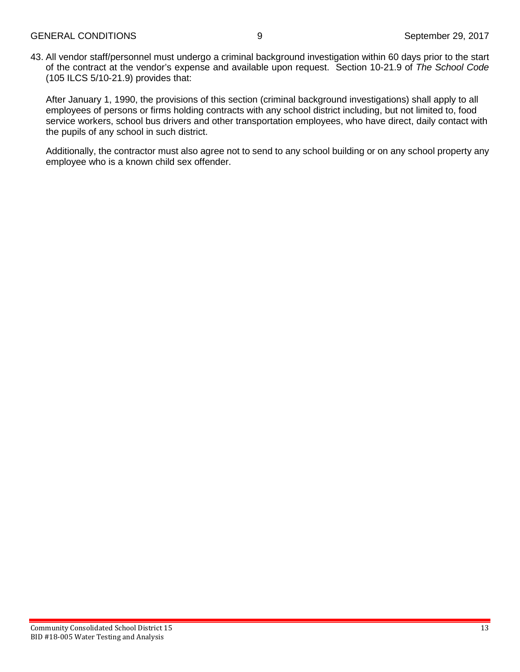43. All vendor staff/personnel must undergo a criminal background investigation within 60 days prior to the start of the contract at the vendor's expense and available upon request. Section 10-21.9 of *The School Code* (105 ILCS 5/10-21.9) provides that:

After January 1, 1990, the provisions of this section (criminal background investigations) shall apply to all employees of persons or firms holding contracts with any school district including, but not limited to, food service workers, school bus drivers and other transportation employees, who have direct, daily contact with the pupils of any school in such district.

Additionally, the contractor must also agree not to send to any school building or on any school property any employee who is a known child sex offender.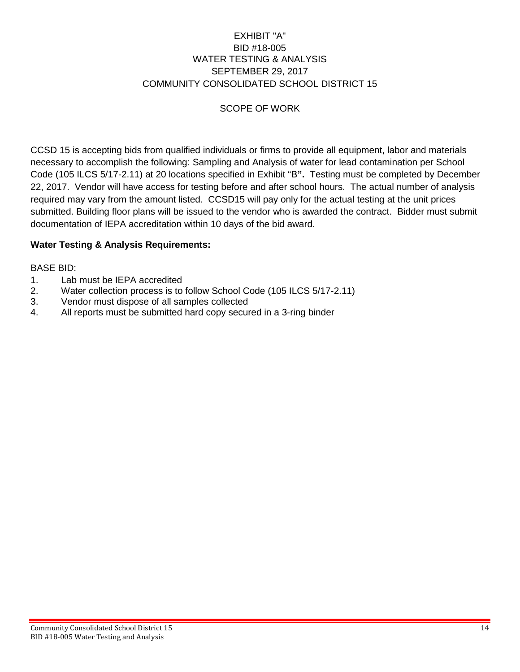## EXHIBIT "A" BID #18-005 WATER TESTING & ANALYSIS SEPTEMBER 29, 2017 COMMUNITY CONSOLIDATED SCHOOL DISTRICT 15

## SCOPE OF WORK

CCSD 15 is accepting bids from qualified individuals or firms to provide all equipment, labor and materials necessary to accomplish the following: Sampling and Analysis of water for lead contamination per School Code (105 ILCS 5/17-2.11) at 20 locations specified in Exhibit "B**".** Testing must be completed by December 22, 2017. Vendor will have access for testing before and after school hours. The actual number of analysis required may vary from the amount listed. CCSD15 will pay only for the actual testing at the unit prices submitted. Building floor plans will be issued to the vendor who is awarded the contract. Bidder must submit documentation of IEPA accreditation within 10 days of the bid award.

## **Water Testing & Analysis Requirements:**

## BASE BID:

- 1. Lab must be IEPA accredited
- 2. Water collection process is to follow School Code (105 ILCS 5/17-2.11)
- 3. Vendor must dispose of all samples collected
- 4. All reports must be submitted hard copy secured in a 3-ring binder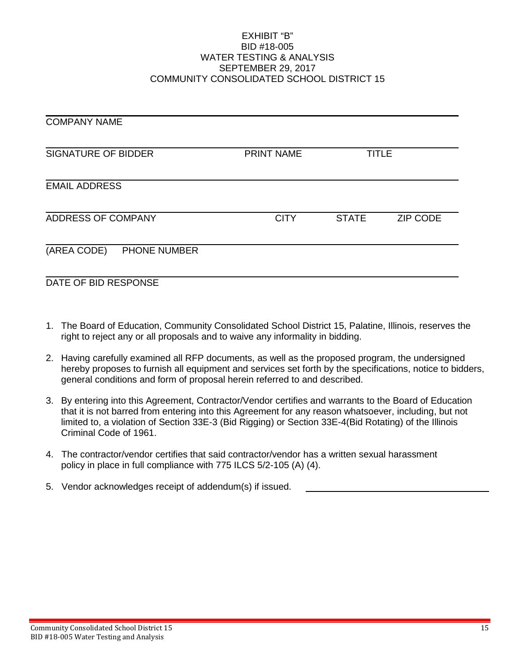#### EXHIBIT "B" BID #18-005 WATER TESTING & ANALYSIS SEPTEMBER 29, 2017 COMMUNITY CONSOLIDATED SCHOOL DISTRICT 15

| <b>COMPANY NAME</b>                |                   |              |                 |
|------------------------------------|-------------------|--------------|-----------------|
| <b>SIGNATURE OF BIDDER</b>         | <b>PRINT NAME</b> | <b>TITLE</b> |                 |
| <b>EMAIL ADDRESS</b>               |                   |              |                 |
| ADDRESS OF COMPANY                 | <b>CITY</b>       | <b>STATE</b> | <b>ZIP CODE</b> |
| (AREA CODE)<br><b>PHONE NUMBER</b> |                   |              |                 |
| DATE OF BID RESPONSE               |                   |              |                 |

- 1. The Board of Education, Community Consolidated School District 15, Palatine, Illinois, reserves the right to reject any or all proposals and to waive any informality in bidding.
- 2. Having carefully examined all RFP documents, as well as the proposed program, the undersigned hereby proposes to furnish all equipment and services set forth by the specifications, notice to bidders, general conditions and form of proposal herein referred to and described.
- 3. By entering into this Agreement, Contractor/Vendor certifies and warrants to the Board of Education that it is not barred from entering into this Agreement for any reason whatsoever, including, but not limited to, a violation of Section 33E-3 (Bid Rigging) or Section 33E-4(Bid Rotating) of the Illinois Criminal Code of 1961.
- 4. The contractor/vendor certifies that said contractor/vendor has a written sexual harassment policy in place in full compliance with 775 ILCS 5/2-105 (A) (4).
- 5. Vendor acknowledges receipt of addendum(s) if issued.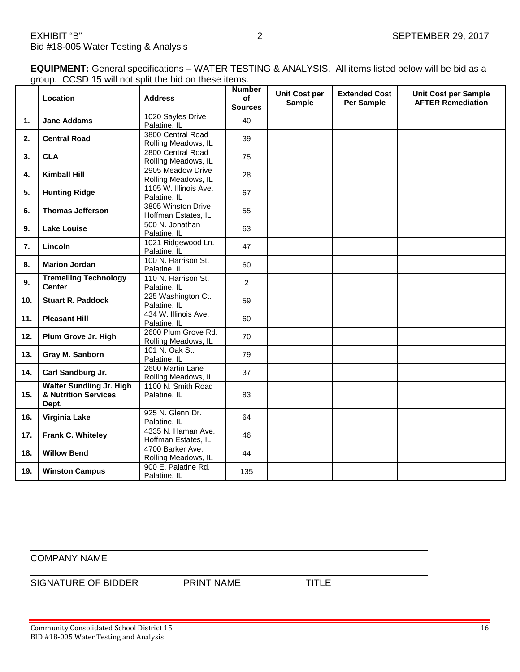**EQUIPMENT:** General specifications – WATER TESTING & ANALYSIS. All items listed below will be bid as a group. CCSD 15 will not split the bid on these items.

|     | Location                                                         | <b>Address</b>                             | <b>Number</b><br>of<br><b>Sources</b> | <b>Unit Cost per</b><br><b>Sample</b> | <b>Extended Cost</b><br><b>Per Sample</b> | <b>Unit Cost per Sample</b><br><b>AFTER Remediation</b> |
|-----|------------------------------------------------------------------|--------------------------------------------|---------------------------------------|---------------------------------------|-------------------------------------------|---------------------------------------------------------|
| 1.  | <b>Jane Addams</b>                                               | 1020 Sayles Drive<br>Palatine, IL          | 40                                    |                                       |                                           |                                                         |
| 2.  | <b>Central Road</b>                                              | 3800 Central Road<br>Rolling Meadows, IL   | 39                                    |                                       |                                           |                                                         |
| 3.  | <b>CLA</b>                                                       | 2800 Central Road<br>Rolling Meadows, IL   | 75                                    |                                       |                                           |                                                         |
| 4.  | <b>Kimball Hill</b>                                              | 2905 Meadow Drive<br>Rolling Meadows, IL   | 28                                    |                                       |                                           |                                                         |
| 5.  | <b>Hunting Ridge</b>                                             | 1105 W. Illinois Ave.<br>Palatine, IL      | 67                                    |                                       |                                           |                                                         |
| 6.  | <b>Thomas Jefferson</b>                                          | 3805 Winston Drive<br>Hoffman Estates, IL  | 55                                    |                                       |                                           |                                                         |
| 9.  | <b>Lake Louise</b>                                               | 500 N. Jonathan<br>Palatine, IL            | 63                                    |                                       |                                           |                                                         |
| 7.  | Lincoln                                                          | 1021 Ridgewood Ln.<br>Palatine, IL         | 47                                    |                                       |                                           |                                                         |
| 8.  | <b>Marion Jordan</b>                                             | 100 N. Harrison St.<br>Palatine, IL        | 60                                    |                                       |                                           |                                                         |
| 9.  | <b>Tremelling Technology</b><br><b>Center</b>                    | 110 N. Harrison St.<br>Palatine, IL        | $\overline{2}$                        |                                       |                                           |                                                         |
| 10. | <b>Stuart R. Paddock</b>                                         | 225 Washington Ct.<br>Palatine, IL         | 59                                    |                                       |                                           |                                                         |
| 11. | <b>Pleasant Hill</b>                                             | 434 W. Illinois Ave.<br>Palatine, IL       | 60                                    |                                       |                                           |                                                         |
| 12. | Plum Grove Jr. High                                              | 2600 Plum Grove Rd.<br>Rolling Meadows, IL | 70                                    |                                       |                                           |                                                         |
| 13. | Gray M. Sanborn                                                  | 101 N. Oak St.<br>Palatine, IL             | 79                                    |                                       |                                           |                                                         |
| 14. | Carl Sandburg Jr.                                                | 2600 Martin Lane<br>Rolling Meadows, IL    | 37                                    |                                       |                                           |                                                         |
| 15. | <b>Walter Sundling Jr. High</b><br>& Nutrition Services<br>Dept. | 1100 N. Smith Road<br>Palatine, IL         | 83                                    |                                       |                                           |                                                         |
| 16. | Virginia Lake                                                    | 925 N. Glenn Dr.<br>Palatine, IL           | 64                                    |                                       |                                           |                                                         |
| 17. | Frank C. Whiteley                                                | 4335 N. Haman Ave.<br>Hoffman Estates, IL  | 46                                    |                                       |                                           |                                                         |
| 18. | <b>Willow Bend</b>                                               | 4700 Barker Ave.<br>Rolling Meadows, IL    | 44                                    |                                       |                                           |                                                         |
| 19. | <b>Winston Campus</b>                                            | 900 E. Palatine Rd.<br>Palatine. IL        | 135                                   |                                       |                                           |                                                         |

#### COMPANY NAME

SIGNATURE OF BIDDER PRINT NAME TITLE